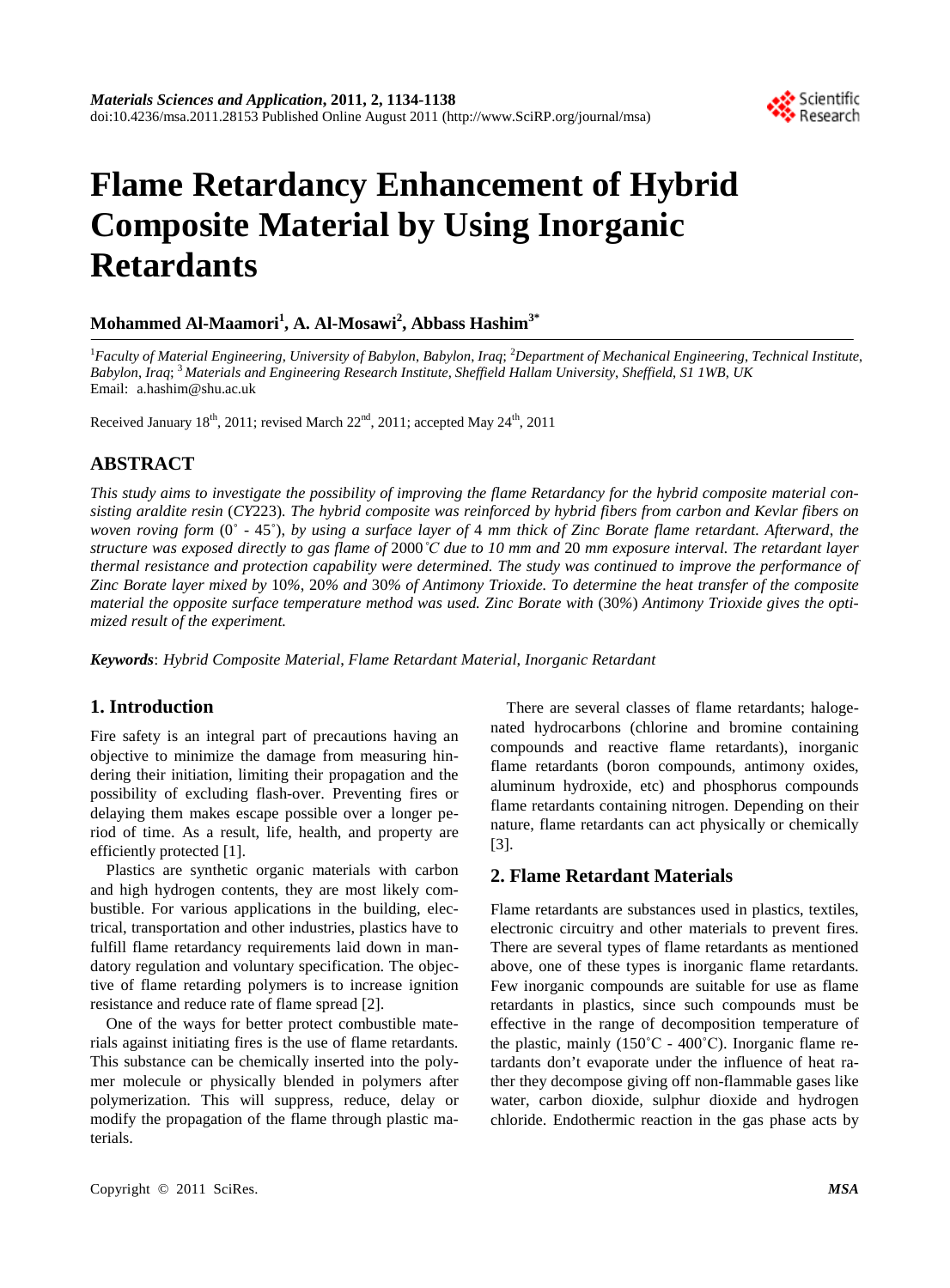

# **Flame Retardancy Enhancement of Hybrid Composite Material by Using Inorganic Retardants**

# **Mohammed Al-Maamori<sup>1</sup> , A. Al-Mosawi<sup>2</sup> , Abbass Hashim3\***

1 *Faculty of Material Engineering*, *University of Babylon*, *Babylon*, *Iraq*; <sup>2</sup> *Department of Mechanical Engineering*, *Technical Institute*, *Babylon*, *Iraq*; <sup>3</sup>*Materials and Engineering Research Institute*, *Sheffield Hallam University*, *Sheffield*, *S1 1WB*, *UK* Email: a.hashim@shu.ac.uk

Received January 18<sup>th</sup>, 2011; revised March 22<sup>nd</sup>, 2011; accepted May 24<sup>th</sup>, 2011

## **ABSTRACT**

*This study aims to investigate the possibility of improving the flame Retardancy for the hybrid composite material consisting araldite resin* (*CY*223)*. The hybrid composite was reinforced by hybrid fibers from carbon and Kevlar fibers on woven roving form* (0˚ - 45˚), *by using a surface layer of* 4 *mm thick of Zinc Borate flame retardant. Afterward*, *the structure was exposed directly to gas flame of* 2000*˚C due to 10 mm and* 20 *mm exposure interval. The retardant layer thermal resistance and protection capability were determined. The study was continued to improve the performance of Zinc Borate layer mixed by* 10*%*, 20*% and* 30*% of Antimony Trioxide. To determine the heat transfer of the composite material the opposite surface temperature method was used. Zinc Borate with* (30*%*) *Antimony Trioxide gives the optimized result of the experiment.*

*Keywords*: *Hybrid Composite Material*, *Flame Retardant Material*, *Inorganic Retardant*

## **1. Introduction**

Fire safety is an integral part of precautions having an objective to minimize the damage from measuring hindering their initiation, limiting their propagation and the possibility of excluding flash-over. Preventing fires or delaying them makes escape possible over a longer period of time. As a result, life, health, and property are efficiently protected [1].

Plastics are synthetic organic materials with carbon and high hydrogen contents, they are most likely combustible. For various applications in the building, electrical, transportation and other industries, plastics have to fulfill flame retardancy requirements laid down in mandatory regulation and voluntary specification. The objective of flame retarding polymers is to increase ignition resistance and reduce rate of flame spread [2].

One of the ways for better protect combustible materials against initiating fires is the use of flame retardants. This substance can be chemically inserted into the polymer molecule or physically blended in polymers after polymerization. This will suppress, reduce, delay or modify the propagation of the flame through plastic materials.

There are several classes of flame retardants; halogenated hydrocarbons (chlorine and bromine containing compounds and reactive flame retardants), inorganic flame retardants (boron compounds, antimony oxides, aluminum hydroxide, etc) and phosphorus compounds flame retardants containing nitrogen. Depending on their nature, flame retardants can act physically or chemically [3].

## **2. Flame Retardant Materials**

Flame retardants are substances used in plastics, textiles, electronic circuitry and other materials to prevent fires. There are several types of flame retardants as mentioned above, one of these types is inorganic flame retardants. Few inorganic compounds are suitable for use as flame retardants in plastics, since such compounds must be effective in the range of decomposition temperature of the plastic, mainly  $(150^{\circ}C - 400^{\circ}C)$ . Inorganic flame retardants don't evaporate under the influence of heat rather they decompose giving off non-flammable gases like water, carbon dioxide, sulphur dioxide and hydrogen chloride. Endothermic reaction in the gas phase acts by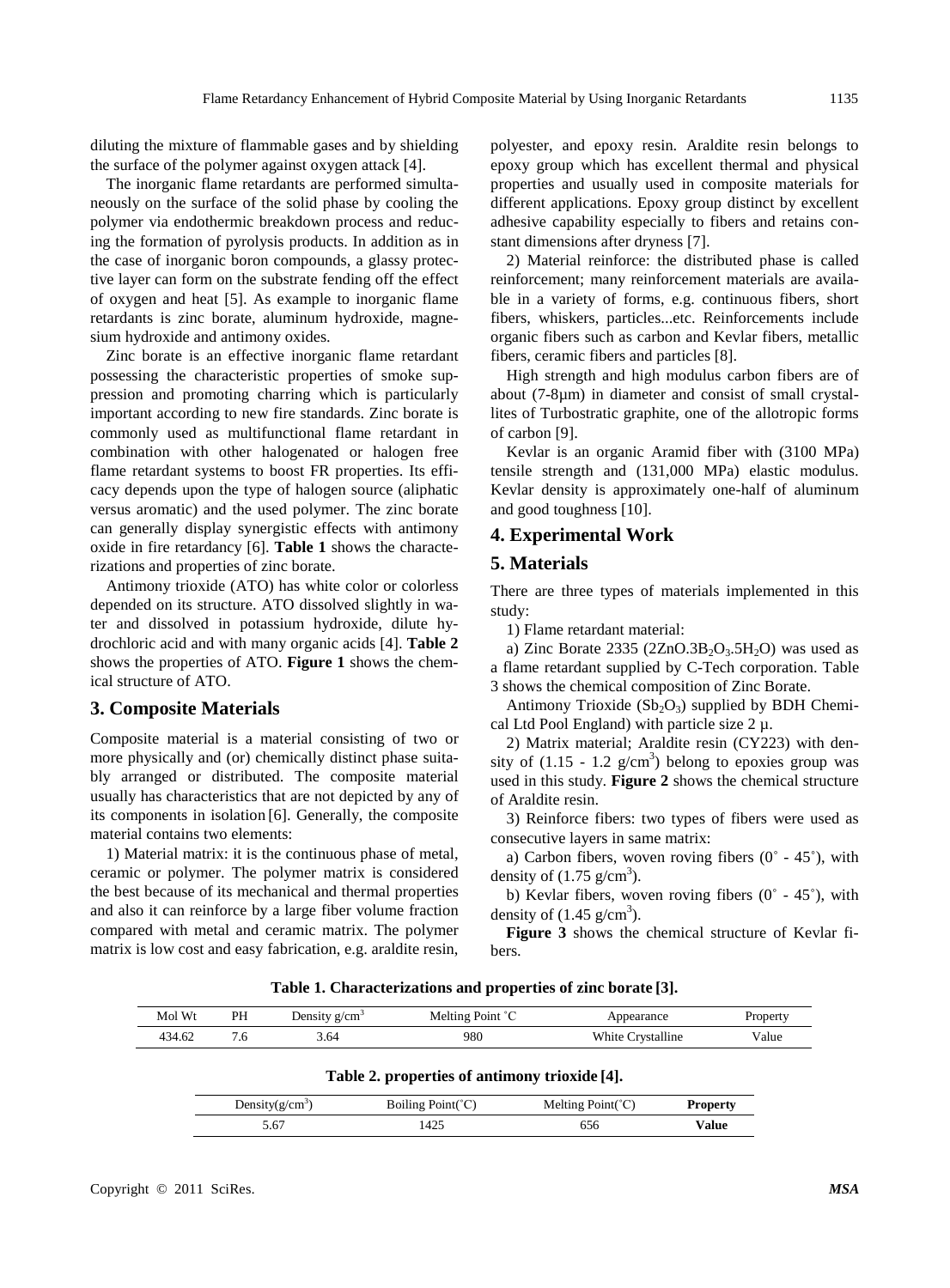diluting the mixture of flammable gases and by shielding the surface of the polymer against oxygen attack [4].

The inorganic flame retardants are performed simultaneously on the surface of the solid phase by cooling the polymer via endothermic breakdown process and reducing the formation of pyrolysis products. In addition as in the case of inorganic boron compounds, a glassy protective layer can form on the substrate fending off the effect of oxygen and heat [5]. As example to inorganic flame retardants is zinc borate, aluminum hydroxide, magnesium hydroxide and antimony oxides.

Zinc borate is an effective inorganic flame retardant possessing the characteristic properties of smoke suppression and promoting charring which is particularly important according to new fire standards. Zinc borate is commonly used as multifunctional flame retardant in combination with other halogenated or halogen free flame retardant systems to boost FR properties. Its efficacy depends upon the type of halogen source (aliphatic versus aromatic) and the used polymer. The zinc borate can generally display synergistic effects with antimony oxide in fire retardancy [6]. **Table 1** shows the characterizations and properties of zinc borate.

Antimony trioxide (ATO) has white color or colorless depended on its structure. ATO dissolved slightly in water and dissolved in potassium hydroxide, dilute hydrochloric acid and with many organic acids [4]. **Table 2**  shows the properties of ATO. **Figure 1** shows the chemical structure of ATO.

### **3. Composite Materials**

Composite material is a material consisting of two or more physically and (or) chemically distinct phase suitably arranged or distributed. The composite material usually has characteristics that are not depicted by any of its components in isolation [6]. Generally, the composite material contains two elements:

1) Material matrix: it is the continuous phase of metal, ceramic or polymer. The polymer matrix is considered the best because of its mechanical and thermal properties and also it can reinforce by a large fiber volume fraction compared with metal and ceramic matrix. The polymer matrix is low cost and easy fabrication, e.g. araldite resin,

polyester, and epoxy resin. Araldite resin belongs to epoxy group which has excellent thermal and physical properties and usually used in composite materials for different applications. Epoxy group distinct by excellent adhesive capability especially to fibers and retains constant dimensions after dryness [7].

2) Material reinforce: the distributed phase is called reinforcement; many reinforcement materials are available in a variety of forms, e.g. continuous fibers, short fibers, whiskers, particles...etc. Reinforcements include organic fibers such as carbon and Kevlar fibers, metallic fibers, ceramic fibers and particles [8].

High strength and high modulus carbon fibers are of about (7-8µm) in diameter and consist of small crystallites of Turbostratic graphite, one of the allotropic forms of carbon [9].

Kevlar is an organic Aramid fiber with (3100 MPa) tensile strength and (131,000 MPa) elastic modulus. Kevlar density is approximately one-half of aluminum and good toughness [10].

## **4. Experimental Work**

#### **5. Materials**

There are three types of materials implemented in this study:

1) Flame retardant material:

a) Zinc Borate  $2335 (2ZnO.3B<sub>2</sub>O<sub>3</sub>.5H<sub>2</sub>O)$  was used as a flame retardant supplied by C-Tech corporation. Table 3 shows the chemical composition of Zinc Borate.

Antimony Trioxide  $(Sb<sub>2</sub>O<sub>3</sub>)$  supplied by BDH Chemical Ltd Pool England) with particle size  $2 \mu$ .

2) Matrix material; Araldite resin (CY223) with density of  $(1.15 - 1.2 \text{ g/cm}^3)$  belong to epoxies group was used in this study. **Figure 2** shows the chemical structure of Araldite resin.

3) Reinforce fibers: two types of fibers were used as consecutive layers in same matrix:

a) Carbon fibers, woven roving fibers  $(0° - 45°)$ , with density of  $(1.75 \text{ g/cm}^3)$ .

b) Kevlar fibers, woven roving fibers (0˚ - 45˚), with density of  $(1.45 \text{ g/cm}^3)$ .

**Figure 3** shows the chemical structure of Kevlar fibers.

**Table 1. Characterizations and properties of zinc borate [3].**

| Mol Wt | PH | Density $g/cm3$ | Melting Point °C | Appearance        | Property |
|--------|----|-----------------|------------------|-------------------|----------|
| 434.62 |    | 3.64            | 980              | White Crystalline | Value    |

**Table 2. properties of antimony trioxide [4].**

| Density $(g/cm^3)$ | Boiling $Point(C)$ | Melting $Point(C)$ | <b>Property</b> |
|--------------------|--------------------|--------------------|-----------------|
| 5.67               | 425                | 556                | Value           |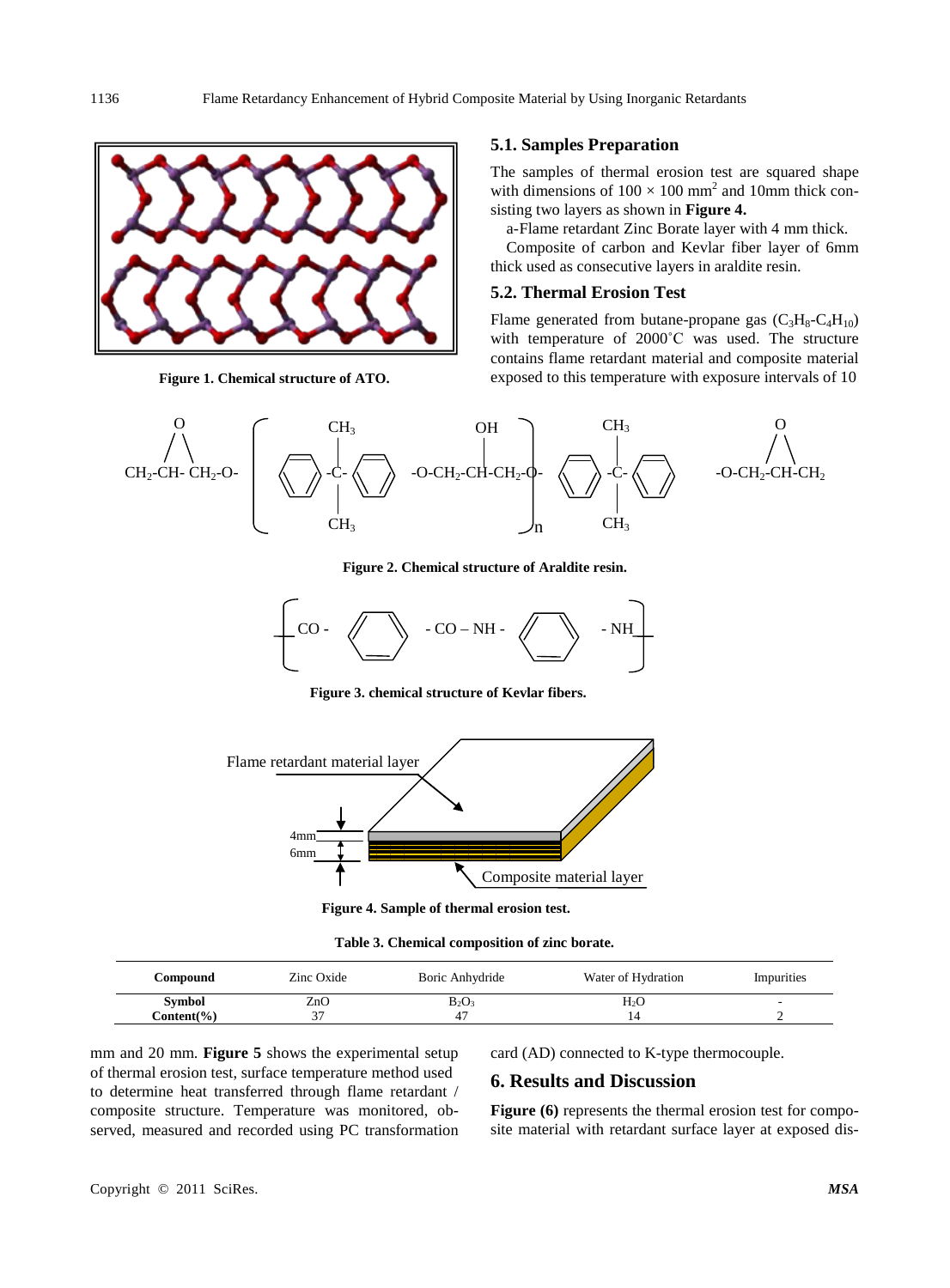

**Figure 1. Chemical structure of ATO.**

#### **5.1. Samples Preparation**

The samples of thermal erosion test are squared shape with dimensions of  $100 \times 100$  mm<sup>2</sup> and 10mm thick consisting two layers as shown in **Figure 4.** 

a-Flame retardant Zinc Borate layer with 4 mm thick.

Composite of carbon and Kevlar fiber layer of 6mm thick used as consecutive layers in araldite resin.

#### **5.2. Thermal Erosion Test**

Flame generated from butane-propane gas  $(C_3H_8-C_4H_{10})$ with temperature of 2000˚C was used. The structure contains flame retardant material and composite material exposed to this temperature with exposure intervals of 10



**Figure 2. Chemical structure of Araldite resin.**



**Figure 3. chemical structure of Kevlar fibers.**



**Figure 4. Sample of thermal erosion test.**

**Table 3. Chemical composition of zinc borate.**

| Compound       | Zinc Oxide | Boric Anhydride | Water of Hydration | Impurities |
|----------------|------------|-----------------|--------------------|------------|
| <b>Symbol</b>  | ZnO        | $B_2O_3$        | $\rm{}H_2O$        |            |
| $Content(\% )$ | ◡          | 47              |                    |            |

mm and 20 mm. **Figure 5** shows the experimental setup of thermal erosion test, surface temperature method used to determine heat transferred through flame retardant / composite structure. Temperature was monitored, observed, measured and recorded using PC transformation card (AD) connected to K-type thermocouple.

### **6. Results and Discussion**

Figure (6) represents the thermal erosion test for composite material with retardant surface layer at exposed dis-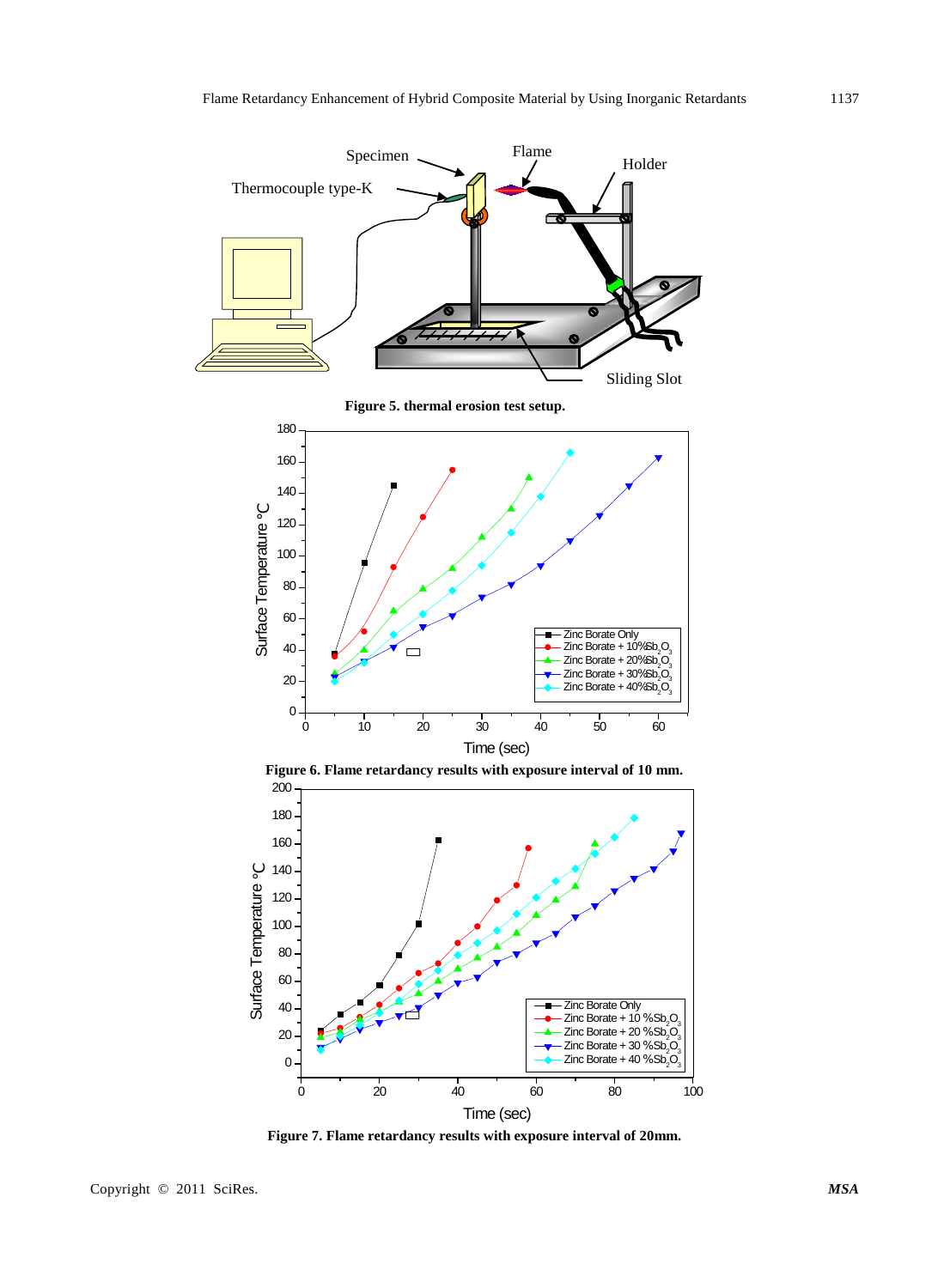

**Figure 7. Flame retardancy results with exposure interval of 20mm.**